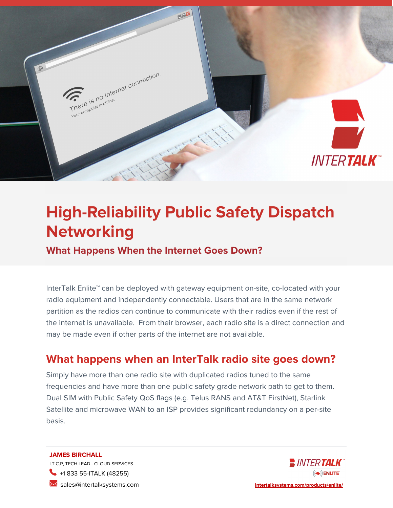

# **High-Reliability Public Safety Dispatch Networking**

**What Happens When the Internet Goes Down?**

InterTalk Enlite™ can be deployed with gateway equipment on-site, co-located with your radio equipment and independently connectable. Users that are in the same network partition as the radios can continue to communicate with their radios even if the rest of the internet is unavailable. From their browser, each radio site is a direct connection and may be made even if other parts of the internet are not available.

# **What happens when an InterTalk radio site goes down?**

Simply have more than one radio site with duplicated radios tuned to the same frequencies and have more than one public safety grade network path to get to them. Dual SIM with Public Safety QoS flags (e.g. Telus RANS and AT&T FirstNet), Starlink Satellite and microwave WAN to an ISP provides significant redundancy on a per-site basis.

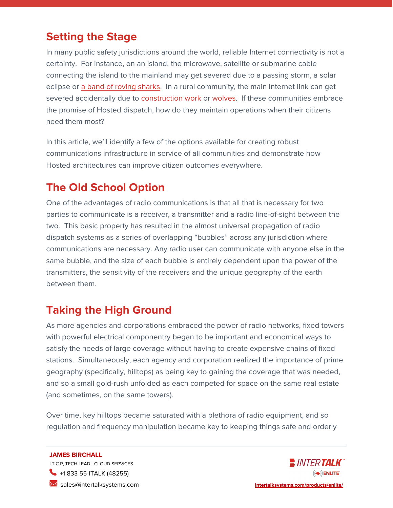### **Setting the Stage**

In many public safety jurisdictions around the world, reliable Internet connectivity is not a certainty. For instance, on an island, the microwave, satellite or submarine cable connecting the island to the mainland may get severed due to a passing storm, a solar eclipse or [a band of roving sharks.](https://www.forbes.com/sites/melissacristinamarquez/2020/07/20/our-underwater-world-is-full-of-cables-that-are-sometimes-attacked-by-sharks) In a rural community, the main Internet link can get severed accidentally due to **construction work** or [wolves.](https://www.rcinet.ca/eye-on-the-arctic/2019/08/06/nwt-fibre-optic-cable-damage-canada/) If these communities embrace the promise of Hosted dispatch, how do they maintain operations when their citizens need them most?

In this article, we'll identify a few of the options available for creating robust communications infrastructure in service of all communities and demonstrate how Hosted architectures can improve citizen outcomes everywhere.

# **The Old School Option**

One of the advantages of radio communications is that all that is necessary for two parties to communicate is a receiver, a transmitter and a radio line-of-sight between the two. This basic property has resulted in the almost universal propagation of radio dispatch systems as a series of overlapping "bubbles" across any jurisdiction where communications are necessary. Any radio user can communicate with anyone else in the same bubble, and the size of each bubble is entirely dependent upon the power of the transmitters, the sensitivity of the receivers and the unique geography of the earth between them.

# **Taking the High Ground**

As more agencies and corporations embraced the power of radio networks, fixed towers with powerful electrical componentry began to be important and economical ways to satisfy the needs of large coverage without having to create expensive chains of fixed stations. Simultaneously, each agency and corporation realized the importance of prime geography (specifically, hilltops) as being key to gaining the coverage that was needed, and so a small gold-rush unfolded as each competed for space on the same real estate (and sometimes, on the same towers).

Over time, key hilltops became saturated with a plethora of radio equipment, and so regulation and frequency manipulation became key to keeping things safe and orderly

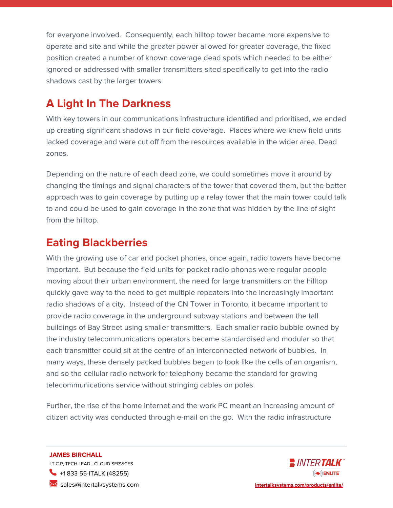for everyone involved. Consequently, each hilltop tower became more expensive to operate and site and while the greater power allowed for greater coverage, the fixed position created a number of known coverage dead spots which needed to be either ignored or addressed with smaller transmitters sited specifically to get into the radio shadows cast by the larger towers.

# **A Light In The Darkness**

With key towers in our communications infrastructure identified and prioritised, we ended up creating significant shadows in our field coverage. Places where we knew field units lacked coverage and were cut off from the resources available in the wider area. Dead zones.

Depending on the nature of each dead zone, we could sometimes move it around by changing the timings and signal characters of the tower that covered them, but the better approach was to gain coverage by putting up a relay tower that the main tower could talk to and could be used to gain coverage in the zone that was hidden by the line of sight from the hilltop.

### **Eating Blackberries**

With the growing use of car and pocket phones, once again, radio towers have become important. But because the field units for pocket radio phones were regular people moving about their urban environment, the need for large transmitters on the hilltop quickly gave way to the need to get multiple repeaters into the increasingly important radio shadows of a city. Instead of the CN Tower in Toronto, it became important to provide radio coverage in the underground subway stations and between the tall buildings of Bay Street using smaller transmitters. Each smaller radio bubble owned by the industry telecommunications operators became standardised and modular so that each transmitter could sit at the centre of an interconnected network of bubbles. In many ways, these densely packed bubbles began to look like the cells of an organism, and so the cellular radio network for telephony became the standard for growing telecommunications service without stringing cables on poles.

Further, the rise of the home internet and the work PC meant an increasing amount of citizen activity was conducted through e-mail on the go. With the radio infrastructure

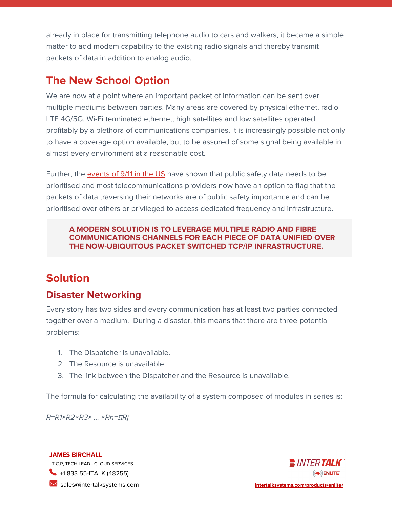already in place for transmitting telephone audio to cars and walkers, it became a simple matter to add modem capability to the existing radio signals and thereby transmit packets of data in addition to analog audio.

### **The New School Option**

We are now at a point where an important packet of information can be sent over multiple mediums between parties. Many areas are covered by physical ethernet, radio LTE 4G/5G, Wi-Fi terminated ethernet, high satellites and low satellites operated profitably by a plethora of communications companies. It is increasingly possible not only to have a coverage option available, but to be assured of some signal being available in almost every environment at a reasonable cost.

Further, the [events of 9/11 in the US](https://hbr.org/2002/12/crisis-communication-lessons-from-911) have shown that public safety data needs to be prioritised and most telecommunications providers now have an option to flag that the packets of data traversing their networks are of public safety importance and can be prioritised over others or privileged to access dedicated frequency and infrastructure.

#### **A MODERN SOLUTION IS TO LEVERAGE MULTIPLE RADIO AND FIBRE COMMUNICATIONS CHANNELS FOR EACH PIECE OF DATA UNIFIED OVER THE NOW-UBIQUITOUS PACKET SWITCHED TCP/IP INFRASTRUCTURE.**

# **Solution**

### **Disaster Networking**

Every story has two sides and every communication has at least two parties connected together over a medium. During a disaster, this means that there are three potential problems:

- 1. The Dispatcher is unavailable.
- 2. The Resource is unavailable.
- 3. The link between the Dispatcher and the Resource is unavailable.

The formula for calculating the availability of a system composed of modules in series is:

R=R1×R2×R3× ... ×Rn=*Π*Rj

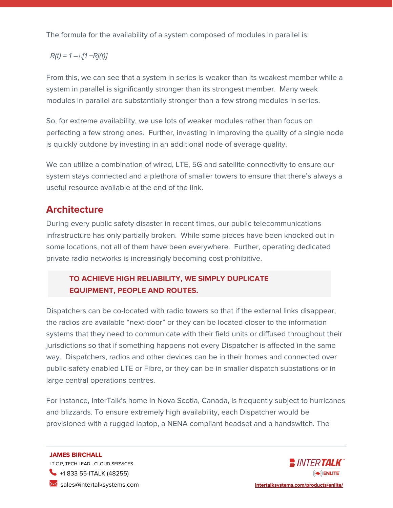The formula for the availability of a system composed of modules in parallel is:

#### $R(t) = 1 - \frac{\Pi}{1 - Rj(t)}$

From this, we can see that a system in series is weaker than its weakest member while a system in parallel is significantly stronger than its strongest member. Many weak modules in parallel are substantially stronger than a few strong modules in series.

So, for extreme availability, we use lots of weaker modules rather than focus on perfecting a few strong ones. Further, investing in improving the quality of a single node is quickly outdone by investing in an additional node of average quality.

We can utilize a combination of wired, LTE, 5G and satellite connectivity to ensure our system stays connected and a plethora of smaller towers to ensure that there's always a useful resource available at the end of the link.

### **Architecture**

During every public safety disaster in recent times, our public telecommunications infrastructure has only partially broken. While some pieces have been knocked out in some locations, not all of them have been everywhere. Further, operating dedicated private radio networks is increasingly becoming cost prohibitive.

#### **TO ACHIEVE HIGH RELIABILITY, WE SIMPLY DUPLICATE EQUIPMENT, PEOPLE AND ROUTES.**

Dispatchers can be co-located with radio towers so that if the external links disappear, the radios are available "next-door" or they can be located closer to the information systems that they need to communicate with their field units or diffused throughout their jurisdictions so that if something happens not every Dispatcher is affected in the same way. Dispatchers, radios and other devices can be in their homes and connected over public-safety enabled LTE or Fibre, or they can be in smaller dispatch substations or in large central operations centres.

For instance, InterTalk's home in Nova Scotia, Canada, is frequently subject to hurricanes and blizzards. To ensure extremely high availability, each Dispatcher would be provisioned with a rugged laptop, a NENA compliant headset and a handswitch. The

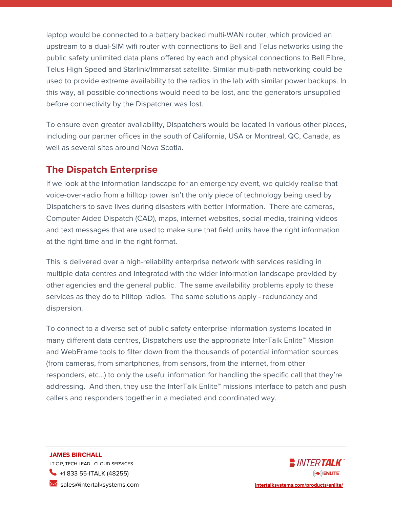laptop would be connected to a battery backed multi-WAN router, which provided an upstream to a dual-SIM wifi router with connections to Bell and Telus networks using the public safety unlimited data plans offered by each and physical connections to Bell Fibre, Telus High Speed and Starlink/Immarsat satellite. Similar multi-path networking could be used to provide extreme availability to the radios in the lab with similar power backups. In this way, all possible connections would need to be lost, and the generators unsupplied before connectivity by the Dispatcher was lost.

To ensure even greater availability, Dispatchers would be located in various other places, including our partner offices in the south of California, USA or Montreal, QC, Canada, as well as several sites around Nova Scotia.

### **The Dispatch Enterprise**

If we look at the information landscape for an emergency event, we quickly realise that voice-over-radio from a hilltop tower isn't the only piece of technology being used by Dispatchers to save lives during disasters with better information. There are cameras, Computer Aided Dispatch (CAD), maps, internet websites, social media, training videos and text messages that are used to make sure that field units have the right information at the right time and in the right format.

This is delivered over a high-reliability enterprise network with services residing in multiple data centres and integrated with the wider information landscape provided by other agencies and the general public. The same availability problems apply to these services as they do to hilltop radios. The same solutions apply - redundancy and dispersion.

To connect to a diverse set of public safety enterprise information systems located in many different data centres, Dispatchers use the appropriate InterTalk Enlite™ Mission and WebFrame tools to filter down from the thousands of potential information sources (from cameras, from smartphones, from sensors, from the internet, from other responders, etc…) to only the useful information for handling the specific call that they're addressing. And then, they use the InterTalk Enlite™ missions interface to patch and push callers and responders together in a mediated and coordinated way.